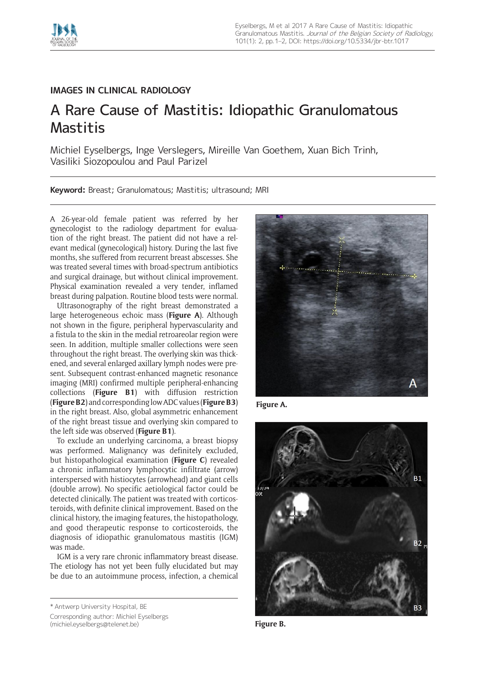

## **IMAGES IN CLINICAL RADIOLOGY**

## A Rare Cause of Mastitis: Idiopathic Granulomatous Mastitis

Michiel Eyselbergs, Inge Verslegers, Mireille Van Goethem, Xuan Bich Trinh, Vasiliki Siozopoulou and Paul Parizel

**Keyword:** Breast; Granulomatous; Mastitis; ultrasound; MRI

A 26-year-old female patient was referred by her gynecologist to the radiology department for evaluation of the right breast. The patient did not have a relevant medical (gynecological) history. During the last five months, she suffered from recurrent breast abscesses. She was treated several times with broad-spectrum antibiotics and surgical drainage, but without clinical improvement. Physical examination revealed a very tender, inflamed breast during palpation. Routine blood tests were normal.

Ultrasonography of the right breast demonstrated a large heterogeneous echoic mass (**Figure A**). Although not shown in the figure, peripheral hypervascularity and a fistula to the skin in the medial retroareolar region were seen. In addition, multiple smaller collections were seen throughout the right breast. The overlying skin was thickened, and several enlarged axillary lymph nodes were present. Subsequent contrast-enhanced magnetic resonance imaging (MRI) confirmed multiple peripheral-enhancing collections (**Figure B1**) with diffusion restriction (**Figure B2**) and corresponding low ADC values (**Figure B3**) in the right breast. Also, global asymmetric enhancement of the right breast tissue and overlying skin compared to the left side was observed (**Figure B1**).

To exclude an underlying carcinoma, a breast biopsy was performed. Malignancy was definitely excluded, but histopathological examination (**Figure C**) revealed a chronic inflammatory lymphocytic infiltrate (arrow) interspersed with histiocytes (arrowhead) and giant cells (double arrow). No specific aetiological factor could be detected clinically. The patient was treated with corticosteroids, with definite clinical improvement. Based on the clinical history, the imaging features, the histopathology, and good therapeutic response to corticosteroids, the diagnosis of idiopathic granulomatous mastitis (IGM) was made.

IGM is a very rare chronic inflammatory breast disease. The etiology has not yet been fully elucidated but may be due to an autoimmune process, infection, a chemical

<sup>\*</sup> Antwerp University Hospital, BE



[\(michiel.eyselbergs@telenet.be\)](mailto:michiel.eyselbergs@telenet.be)



**Figure A.**



**Figure B.**